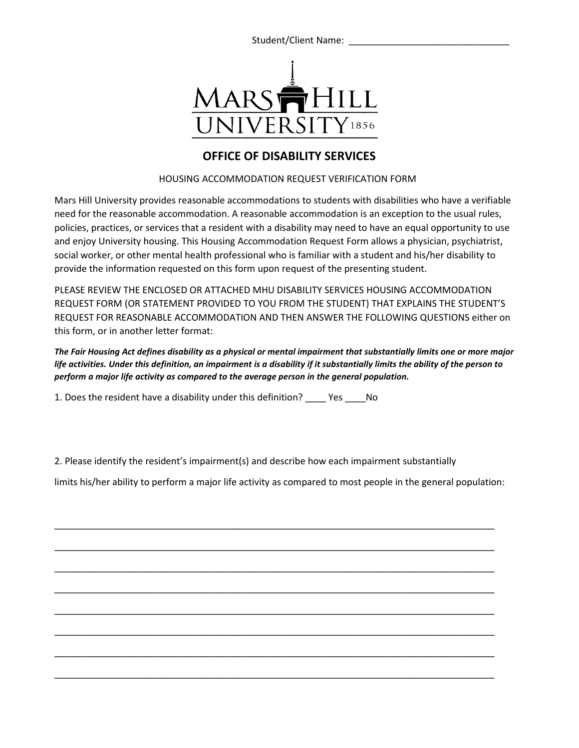Student/Client Name:



## **OFFICE OF DISABILITY SERVICES**

## HOUSING ACCOMMODATION REQUEST VERIFICATION FORM

Mars Hill University provides reasonable accommodations to students with disabilities who have a verifiable need for the reasonable accommodation. A reasonable accommodation is an exception to the usual rules, policies, practices, or services that a resident with a disability may need to have an equal opportunity to use and enjoy University housing. This Housing Accommodation Request Form allows a physician, psychiatrist, social worker, or other mental health professional who is familiar with a student and his/her disability to provide the information requested on this form upon request of the presenting student.

PLEASE REVIEW THE ENCLOSED OR ATTACHED MHU DISABILITY SERVICES HOUSING ACCOMMODATION REQUEST FORM (OR STATEMENT PROVIDED TO YOU FROM THE STUDENT) THAT EXPLAINS THE STUDENT'S REQUEST FOR REASONABLE ACCOMMODATION AND THEN ANSWER THE FOLLOWING QUESTIONS either on this form, or in another letter format:

*The Fair Housing Act defines disability as a physical or mental impairment that substantially limits one or more major life activities. Under this definition, an impairment is a disability if it substantially limits the ability of the person to perform a major life activity as compared to the average person in the general population.* 

1. Does the resident have a disability under this definition? \_\_\_\_ Yes \_\_\_\_No

2. Please identify the resident's impairment(s) and describe how each impairment substantially

limits his/her ability to perform a major life activity as compared to most people in the general population:

\_\_\_\_\_\_\_\_\_\_\_\_\_\_\_\_\_\_\_\_\_\_\_\_\_\_\_\_\_\_\_\_\_\_\_\_\_\_\_\_\_\_\_\_\_\_\_\_\_\_\_\_\_\_\_\_\_\_\_\_\_\_\_\_\_\_\_\_\_\_\_\_\_\_\_\_\_\_\_\_\_\_\_\_\_

\_\_\_\_\_\_\_\_\_\_\_\_\_\_\_\_\_\_\_\_\_\_\_\_\_\_\_\_\_\_\_\_\_\_\_\_\_\_\_\_\_\_\_\_\_\_\_\_\_\_\_\_\_\_\_\_\_\_\_\_\_\_\_\_\_\_\_\_\_\_\_\_\_\_\_\_\_\_\_\_\_\_\_\_\_

\_\_\_\_\_\_\_\_\_\_\_\_\_\_\_\_\_\_\_\_\_\_\_\_\_\_\_\_\_\_\_\_\_\_\_\_\_\_\_\_\_\_\_\_\_\_\_\_\_\_\_\_\_\_\_\_\_\_\_\_\_\_\_\_\_\_\_\_\_\_\_\_\_\_\_\_\_\_\_\_\_\_\_\_\_

\_\_\_\_\_\_\_\_\_\_\_\_\_\_\_\_\_\_\_\_\_\_\_\_\_\_\_\_\_\_\_\_\_\_\_\_\_\_\_\_\_\_\_\_\_\_\_\_\_\_\_\_\_\_\_\_\_\_\_\_\_\_\_\_\_\_\_\_\_\_\_\_\_\_\_\_\_\_\_\_\_\_\_\_\_

\_\_\_\_\_\_\_\_\_\_\_\_\_\_\_\_\_\_\_\_\_\_\_\_\_\_\_\_\_\_\_\_\_\_\_\_\_\_\_\_\_\_\_\_\_\_\_\_\_\_\_\_\_\_\_\_\_\_\_\_\_\_\_\_\_\_\_\_\_\_\_\_\_\_\_\_\_\_\_\_\_\_\_\_\_

\_\_\_\_\_\_\_\_\_\_\_\_\_\_\_\_\_\_\_\_\_\_\_\_\_\_\_\_\_\_\_\_\_\_\_\_\_\_\_\_\_\_\_\_\_\_\_\_\_\_\_\_\_\_\_\_\_\_\_\_\_\_\_\_\_\_\_\_\_\_\_\_\_\_\_\_\_\_\_\_\_\_\_\_\_

\_\_\_\_\_\_\_\_\_\_\_\_\_\_\_\_\_\_\_\_\_\_\_\_\_\_\_\_\_\_\_\_\_\_\_\_\_\_\_\_\_\_\_\_\_\_\_\_\_\_\_\_\_\_\_\_\_\_\_\_\_\_\_\_\_\_\_\_\_\_\_\_\_\_\_\_\_\_\_\_\_\_\_\_\_